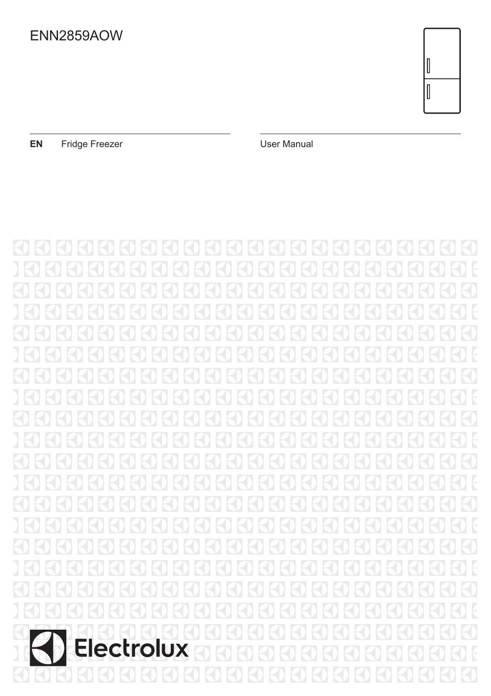

**EN** Fridge Freezer **EN** User Manual

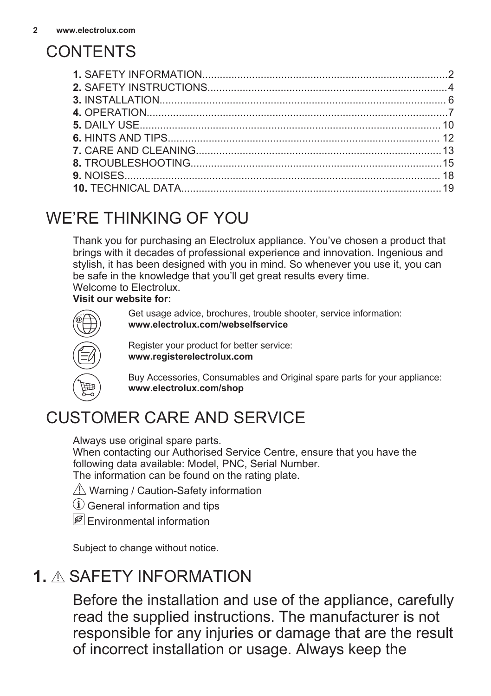# **CONTENTS**

# WE'RE THINKING OF YOU

Thank you for purchasing an Electrolux appliance. You've chosen a product that brings with it decades of professional experience and innovation. Ingenious and stylish, it has been designed with you in mind. So whenever you use it, you can be safe in the knowledge that you'll get great results every time. Welcome to Electrolux.

#### **Visit our website for:**



Get usage advice, brochures, trouble shooter, service information: **www.electrolux.com/webselfservice**

Register your product for better service: **www.registerelectrolux.com**

Buy Accessories, Consumables and Original spare parts for your appliance: **www.electrolux.com/shop**

# CUSTOMER CARE AND SERVICE

Always use original spare parts.

When contacting our Authorised Service Centre, ensure that you have the following data available: Model, PNC, Serial Number.

The information can be found on the rating plate.

- $\triangle$  Warning / Caution-Safety information
- $(i)$  General information and tips
- **P** Fnvironmental information

Subject to change without notice.

# **1.** SAFETY INFORMATION

Before the installation and use of the appliance, carefully read the supplied instructions. The manufacturer is not responsible for any injuries or damage that are the result of incorrect installation or usage. Always keep the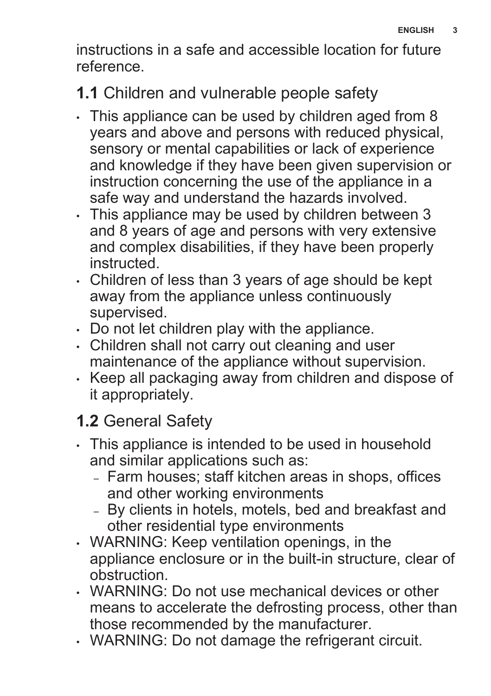instructions in a safe and accessible location for future reference.

# **1.1** Children and vulnerable people safety

- This appliance can be used by children aged from 8 years and above and persons with reduced physical, sensory or mental capabilities or lack of experience and knowledge if they have been given supervision or instruction concerning the use of the appliance in a safe way and understand the hazards involved.
- This appliance may be used by children between 3 and 8 years of age and persons with very extensive and complex disabilities, if they have been properly instructed.
- Children of less than 3 years of age should be kept away from the appliance unless continuously supervised.
- Do not let children play with the appliance.
- Children shall not carry out cleaning and user maintenance of the appliance without supervision.
- Keep all packaging away from children and dispose of it appropriately.

# **1.2** General Safety

- This appliance is intended to be used in household and similar applications such as:
	- Farm houses; staff kitchen areas in shops, offices and other working environments
	- By clients in hotels, motels, bed and breakfast and other residential type environments
- WARNING: Keep ventilation openings, in the appliance enclosure or in the built-in structure, clear of obstruction.
- WARNING: Do not use mechanical devices or other means to accelerate the defrosting process, other than those recommended by the manufacturer.
- WARNING: Do not damage the refrigerant circuit.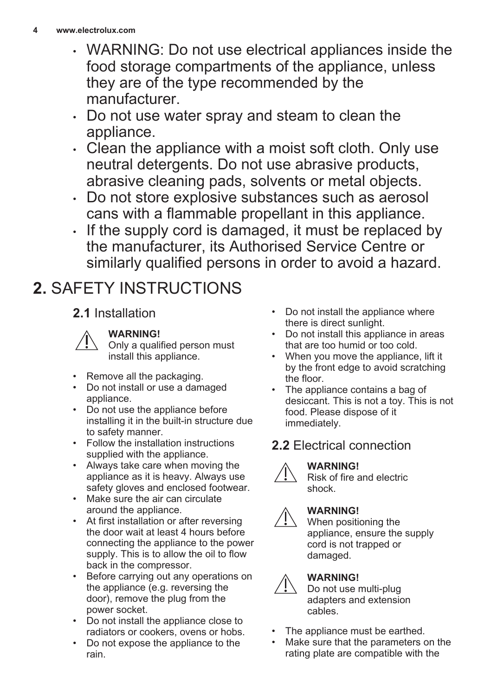- <span id="page-3-0"></span>• WARNING: Do not use electrical appliances inside the food storage compartments of the appliance, unless they are of the type recommended by the manufacturer.
- Do not use water spray and steam to clean the appliance.
- Clean the appliance with a moist soft cloth. Only use neutral detergents. Do not use abrasive products, abrasive cleaning pads, solvents or metal objects.
- Do not store explosive substances such as aerosol cans with a flammable propellant in this appliance.
- If the supply cord is damaged, it must be replaced by the manufacturer, its Authorised Service Centre or similarly qualified persons in order to avoid a hazard.

# **2.** SAFETY INSTRUCTIONS

### **2.1** Installation



#### **WARNING!**

Only a qualified person must install this appliance.

- Remove all the packaging.
- Do not install or use a damaged appliance.
- Do not use the appliance before installing it in the built-in structure due to safety manner.
- Follow the installation instructions supplied with the appliance.
- Always take care when moving the appliance as it is heavy. Always use safety gloves and enclosed footwear.
- Make sure the air can circulate around the appliance.
- At first installation or after reversing the door wait at least 4 hours before connecting the appliance to the power supply. This is to allow the oil to flow back in the compressor.
- Before carrying out any operations on the appliance (e.g. reversing the door), remove the plug from the power socket.
- Do not install the appliance close to radiators or cookers, ovens or hobs.
- Do not expose the appliance to the rain.
- Do not install the appliance where there is direct sunlight.
- Do not install this appliance in areas that are too humid or too cold.
- When you move the appliance, lift it by the front edge to avoid scratching the floor.
- The appliance contains a bag of desiccant. This is not a toy. This is not food. Please dispose of it immediately.

# **2.2** Electrical connection

### **WARNING!**



Risk of fire and electric shock.

### **WARNING!**

When positioning the appliance, ensure the supply cord is not trapped or damaged.

### **WARNING!**

Do not use multi-plug adapters and extension cables.

- The appliance must be earthed.
- Make sure that the parameters on the rating plate are compatible with the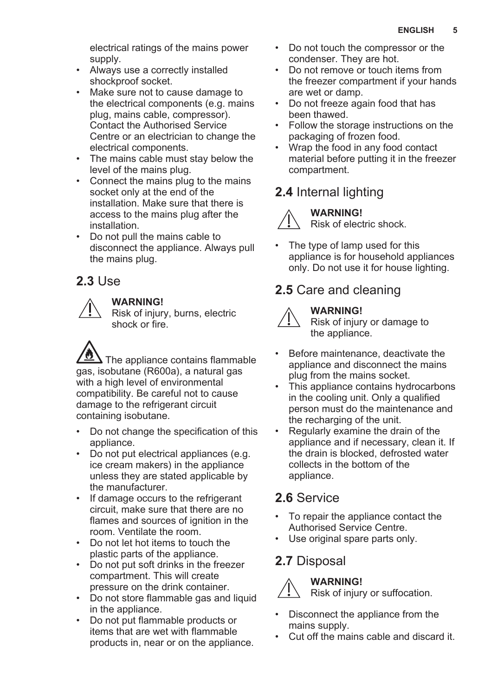electrical ratings of the mains power supply.

- Always use a correctly installed shockproof socket.
- Make sure not to cause damage to the electrical components (e.g. mains plug, mains cable, compressor). Contact the Authorised Service Centre or an electrician to change the electrical components.
- The mains cable must stay below the level of the mains plug.
- Connect the mains plug to the mains socket only at the end of the installation. Make sure that there is access to the mains plug after the installation.
- Do not pull the mains cable to disconnect the appliance. Always pull the mains plug.

### **2.3** Use



#### **WARNING!**

Risk of injury, burns, electric shock or fire.

The appliance contains flammable gas, isobutane (R600a), a natural gas with a high level of environmental compatibility. Be careful not to cause damage to the refrigerant circuit containing isobutane.

- Do not change the specification of this appliance.
- Do not put electrical appliances (e.g. ice cream makers) in the appliance unless they are stated applicable by the manufacturer.
- If damage occurs to the refrigerant circuit, make sure that there are no flames and sources of ignition in the room. Ventilate the room.
- Do not let hot items to touch the plastic parts of the appliance.
- Do not put soft drinks in the freezer compartment. This will create pressure on the drink container.
- Do not store flammable gas and liquid in the appliance.
- Do not put flammable products or items that are wet with flammable products in, near or on the appliance.
- Do not touch the compressor or the condenser. They are hot.
- Do not remove or touch items from the freezer compartment if your hands are wet or damp.
- Do not freeze again food that has been thawed.
- Follow the storage instructions on the packaging of frozen food.
- Wrap the food in any food contact material before putting it in the freezer compartment.

# **2.4** Internal lighting

### **WARNING!**



Risk of electric shock.

• The type of lamp used for this appliance is for household appliances only. Do not use it for house lighting.

### **2.5** Care and cleaning

# **WARNING!**

Risk of injury or damage to the appliance.

- Before maintenance, deactivate the appliance and disconnect the mains plug from the mains socket.
- This appliance contains hydrocarbons in the cooling unit. Only a qualified person must do the maintenance and the recharging of the unit.
- Regularly examine the drain of the appliance and if necessary, clean it. If the drain is blocked, defrosted water collects in the bottom of the appliance.

### **2.6** Service

- To repair the appliance contact the Authorised Service Centre.
- Use original spare parts only.

### **2.7** Disposal



### **WARNING!**



- Disconnect the appliance from the mains supply.
- Cut off the mains cable and discard it.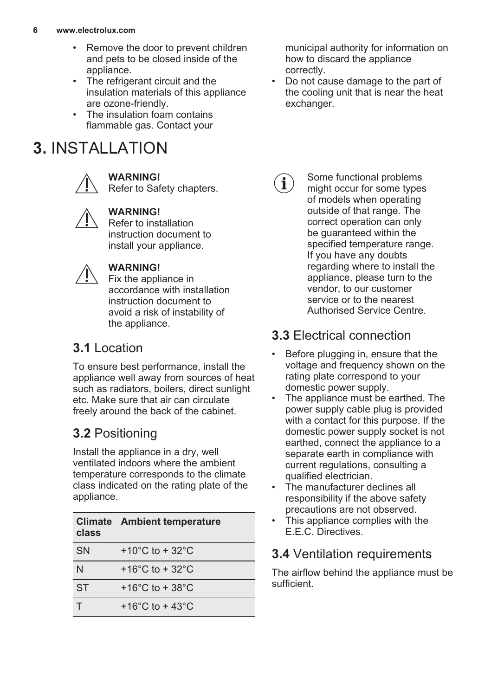- <span id="page-5-0"></span>Remove the door to prevent children and pets to be closed inside of the appliance.
- The refrigerant circuit and the insulation materials of this appliance are ozone-friendly.
- The insulation foam contains flammable gas. Contact your

# **3.** INSTALLATION



#### **WARNING!**

Refer to Safety chapters.



#### **WARNING!**

Refer to installation instruction document to install your appliance.



### **WARNING!**

Fix the appliance in accordance with installation instruction document to avoid a risk of instability of the appliance.

### **3.1** Location

To ensure best performance, install the appliance well away from sources of heat such as radiators, boilers, direct sunlight etc. Make sure that air can circulate freely around the back of the cabinet.

# **3.2** Positioning

Install the appliance in a dry, well ventilated indoors where the ambient temperature corresponds to the climate class indicated on the rating plate of the appliance.

| class     | <b>Climate</b> Ambient temperature    |
|-----------|---------------------------------------|
| <b>SN</b> | +10 $^{\circ}$ C to + 32 $^{\circ}$ C |
| N         | +16 $^{\circ}$ C to + 32 $^{\circ}$ C |
| <b>ST</b> | +16 $^{\circ}$ C to + 38 $^{\circ}$ C |
|           | +16 $^{\circ}$ C to + 43 $^{\circ}$ C |

municipal authority for information on how to discard the appliance correctly.

- Do not cause damage to the part of the cooling unit that is near the heat exchanger.
	- Some functional problems  $\mathbf{i}$ might occur for some types of models when operating outside of that range. The correct operation can only be quaranteed within the specified temperature range. If you have any doubts regarding where to install the appliance, please turn to the vendor, to our customer service or to the nearest Authorised Service Centre.

# **3.3** Electrical connection

- Before plugging in, ensure that the voltage and frequency shown on the rating plate correspond to your domestic power supply.
- The appliance must be earthed. The power supply cable plug is provided with a contact for this purpose. If the domestic power supply socket is not earthed, connect the appliance to a separate earth in compliance with current regulations, consulting a qualified electrician.
- The manufacturer declines all responsibility if the above safety precautions are not observed.
- This appliance complies with the E.E.C. Directives.

# **3.4** Ventilation requirements

The airflow behind the appliance must be sufficient.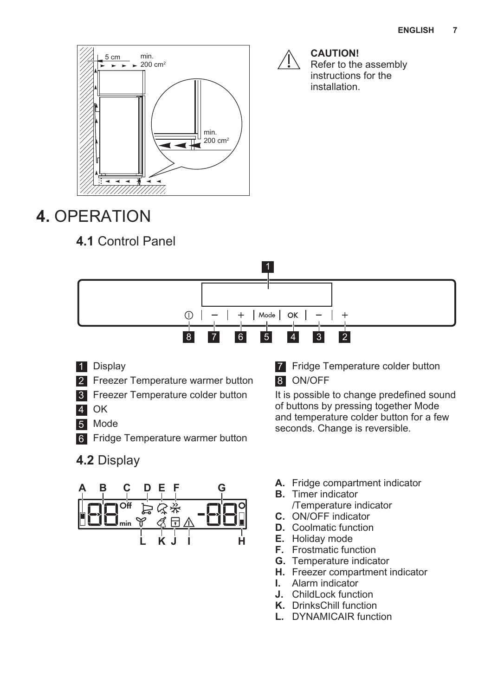<span id="page-6-0"></span>

# **4.** OPERATION

# **4.1** Control Panel



- 1 Display
- 2 Freezer Temperature warmer button
- **3** Freezer Temperature colder button
- 4 OK
- 5 Mode
- 6 Fridge Temperature warmer button
- **4.2** Display



7 Fridge Temperature colder button 8 ON/OFF

**CAUTION!**

Refer to the assembly instructions for the installation.

It is possible to change predefined sound of buttons by pressing together Mode and temperature colder button for a few seconds. Change is reversible.

- **A.** Fridge compartment indicator
- **B.** Timer indicator /Temperature indicator
- **C.** ON/OFF indicator
- **D.** Coolmatic function
- **E.** Holiday mode
- **F.** Frostmatic function
- **G.** Temperature indicator
- **H.** Freezer compartment indicator
- **I.** Alarm indicator
- **J.** ChildLock function
- **K.** DrinksChill function
- **L.** DYNAMICAIR function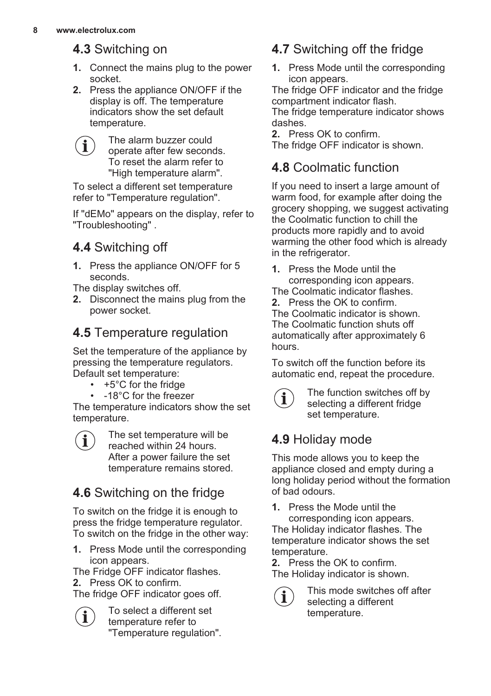### **4.3** Switching on

- **1.** Connect the mains plug to the power socket.
- **2.** Press the appliance ON/OFF if the display is off. The temperature indicators show the set default temperature.

The alarm buzzer could i operate after few seconds. To reset the alarm refer to "High temperature alarm".

To select a different set temperature refer to "Temperature regulation".

If "dEMo" appears on the display, refer to "Troubleshooting" .

# **4.4** Switching off

**1.** Press the appliance ON/OFF for 5 seconds.

The display switches off.

**2.** Disconnect the mains plug from the power socket.

### **4.5** Temperature regulation

Set the temperature of the appliance by pressing the temperature regulators. Default set temperature:

- $+5^{\circ}$ C for the fridge
- -18°C for the freezer

The temperature indicators show the set temperature.

The set temperature will be  $\mathbf{\hat{i}}$ reached within 24 hours. After a power failure the set temperature remains stored.

# **4.6** Switching on the fridge

To switch on the fridge it is enough to press the fridge temperature regulator. To switch on the fridge in the other way:

**1.** Press Mode until the corresponding icon appears.

The Fridge OFF indicator flashes.

**2.** Press OK to confirm.

i

The fridge OFF indicator goes off.

To select a different set temperature refer to "Temperature regulation".

### **4.7** Switching off the fridge

**1.** Press Mode until the corresponding icon appears.

The fridge OFF indicator and the fridge compartment indicator flash.

The fridge temperature indicator shows dashes.

**2.** Press OK to confirm. The fridge OFF indicator is shown.

### **4.8** Coolmatic function

If you need to insert a large amount of warm food, for example after doing the grocery shopping, we suggest activating the Coolmatic function to chill the products more rapidly and to avoid warming the other food which is already in the refrigerator.

**1.** Press the Mode until the corresponding icon appears.

The Coolmatic indicator flashes.

**2.** Press the OK to confirm. The Coolmatic indicator is shown. The Coolmatic function shuts off automatically after approximately 6 hours.

To switch off the function before its automatic end, repeat the procedure.



The function switches off by selecting a different fridge set temperature.

### **4.9** Holiday mode

This mode allows you to keep the appliance closed and empty during a long holiday period without the formation of bad odours.

**1.** Press the Mode until the corresponding icon appears. The Holiday indicator flashes. The temperature indicator shows the set temperature.

**2.** Press the OK to confirm. The Holiday indicator is shown.

> This mode switches off after selecting a different temperature.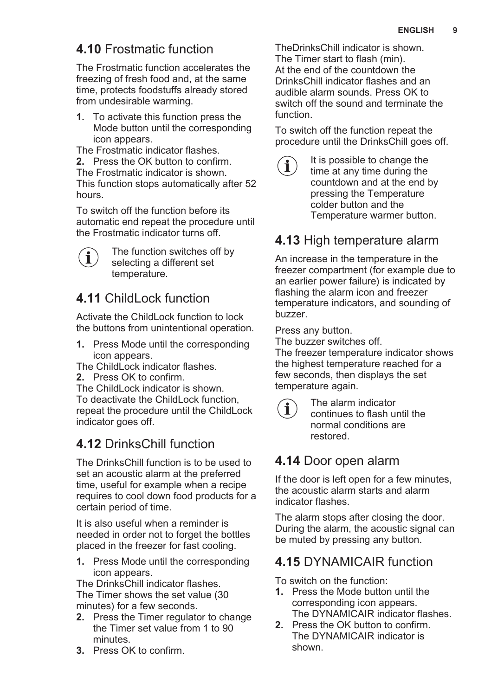### **4.10** Frostmatic function

The Frostmatic function accelerates the freezing of fresh food and, at the same time, protects foodstuffs already stored from undesirable warming.

**1.** To activate this function press the Mode button until the corresponding icon appears.

The Frostmatic indicator flashes. **2.** Press the OK button to confirm. The Frostmatic indicator is shown. This function stops automatically after 52 hours.

To switch off the function before its automatic end repeat the procedure until the Frostmatic indicator turns off.



The function switches off by selecting a different set temperature.

### **4.11** ChildLock function

Activate the ChildLock function to lock the buttons from unintentional operation.

**1.** Press Mode until the corresponding icon appears.

The ChildLock indicator flashes.

**2.** Press OK to confirm.

The ChildLock indicator is shown. To deactivate the ChildLock function, repeat the procedure until the ChildLock indicator goes off.

### **4.12** DrinksChill function

The DrinksChill function is to be used to set an acoustic alarm at the preferred time, useful for example when a recipe requires to cool down food products for a certain period of time.

It is also useful when a reminder is needed in order not to forget the bottles placed in the freezer for fast cooling.

**1.** Press Mode until the corresponding icon appears.

The DrinksChill indicator flashes. The Timer shows the set value (30 minutes) for a few seconds.

- **2.** Press the Timer regulator to change the Timer set value from 1 to 90 minutes.
- **3.** Press OK to confirm.

TheDrinksChill indicator is shown. The Timer start to flash (min). At the end of the countdown the DrinksChill indicator flashes and an audible alarm sounds. Press OK to switch off the sound and terminate the function.

To switch off the function repeat the procedure until the DrinksChill goes off.



It is possible to change the time at any time during the countdown and at the end by pressing the Temperature colder button and the Temperature warmer button.

### **4.13** High temperature alarm

An increase in the temperature in the freezer compartment (for example due to an earlier power failure) is indicated by flashing the alarm icon and freezer temperature indicators, and sounding of buzzer.

Press any button.

The buzzer switches off.

The freezer temperature indicator shows the highest temperature reached for a few seconds, then displays the set temperature again.



The alarm indicator continues to flash until the normal conditions are restored.

### **4.14** Door open alarm

If the door is left open for a few minutes, the acoustic alarm starts and alarm indicator flashes.

The alarm stops after closing the door. During the alarm, the acoustic signal can be muted by pressing any button.

### **4.15** DYNAMICAIR function

To switch on the function:

- **1.** Press the Mode button until the corresponding icon appears. The DYNAMICAIR indicator flashes.
- **2.** Press the OK button to confirm. The DYNAMICAIR indicator is shown.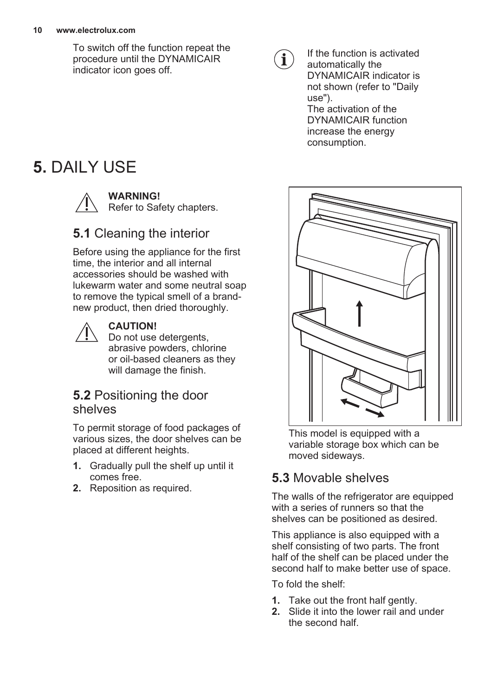<span id="page-9-0"></span>To switch off the function repeat the procedure until the DYNAMICAIR indicator icon goes off.

# **5.** DAILY USE



### **WARNING!**

Refer to Safety chapters.

### **5.1** Cleaning the interior

Before using the appliance for the first time, the interior and all internal accessories should be washed with lukewarm water and some neutral soap to remove the typical smell of a brandnew product, then dried thoroughly.



#### **CAUTION!**

Do not use detergents, abrasive powders, chlorine or oil-based cleaners as they will damage the finish.

### **5.2** Positioning the door shelves

To permit storage of food packages of various sizes, the door shelves can be placed at different heights.

- **1.** Gradually pull the shelf up until it comes free.
- **2.** Reposition as required.



If the function is activated automatically the DYNAMICAIR indicator is not shown (refer to "Daily use"). The activation of the DYNAMICAIR function increase the energy consumption.



This model is equipped with a variable storage box which can be moved sideways.

### **5.3** Movable shelves

The walls of the refrigerator are equipped with a series of runners so that the shelves can be positioned as desired.

This appliance is also equipped with a shelf consisting of two parts. The front half of the shelf can be placed under the second half to make better use of space.

To fold the shelf:

- **1.** Take out the front half gently.
- **2.** Slide it into the lower rail and under the second half.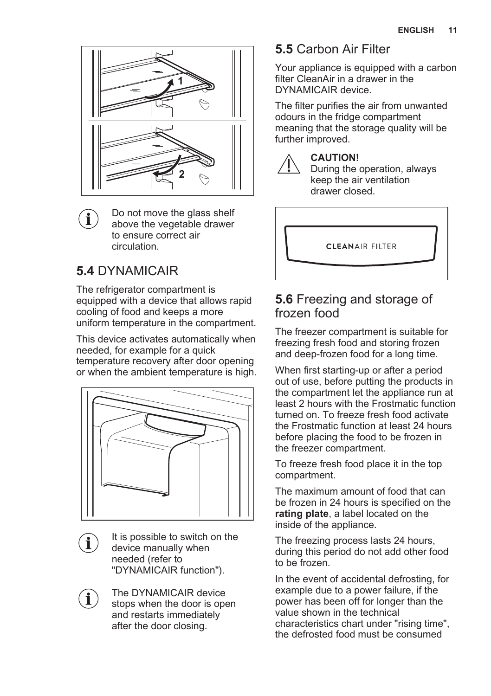

Do not move the glass shelf above the vegetable drawer to ensure correct air circulation.

# **5.4** DYNAMICAIR

 $\mathbf{i}$ 

 $\mathbf i$ 

The refrigerator compartment is equipped with a device that allows rapid cooling of food and keeps a more uniform temperature in the compartment.

This device activates automatically when needed, for example for a quick temperature recovery after door opening or when the ambient temperature is high.



It is possible to switch on the device manually when needed (refer to "DYNAMICAIR function").

The DYNAMICAIR device i. stops when the door is open and restarts immediately after the door closing.

### **5.5** Carbon Air Filter

Your appliance is equipped with a carbon filter CleanAir in a drawer in the DYNAMICAIR device.

The filter purifies the air from unwanted odours in the fridge compartment meaning that the storage quality will be further improved.



### **CAUTION!**

During the operation, always keep the air ventilation drawer closed.

**CLEANAIR FILTER** 

### **5.6** Freezing and storage of frozen food

The freezer compartment is suitable for freezing fresh food and storing frozen and deep-frozen food for a long time.

When first starting-up or after a period out of use, before putting the products in the compartment let the appliance run at least 2 hours with the Frostmatic function turned on. To freeze fresh food activate the Frostmatic function at least 24 hours before placing the food to be frozen in the freezer compartment.

To freeze fresh food place it in the top compartment.

The maximum amount of food that can be frozen in 24 hours is specified on the **rating plate**, a label located on the inside of the appliance.

The freezing process lasts 24 hours, during this period do not add other food to be frozen.

In the event of accidental defrosting, for example due to a power failure, if the power has been off for longer than the value shown in the technical characteristics chart under "rising time", the defrosted food must be consumed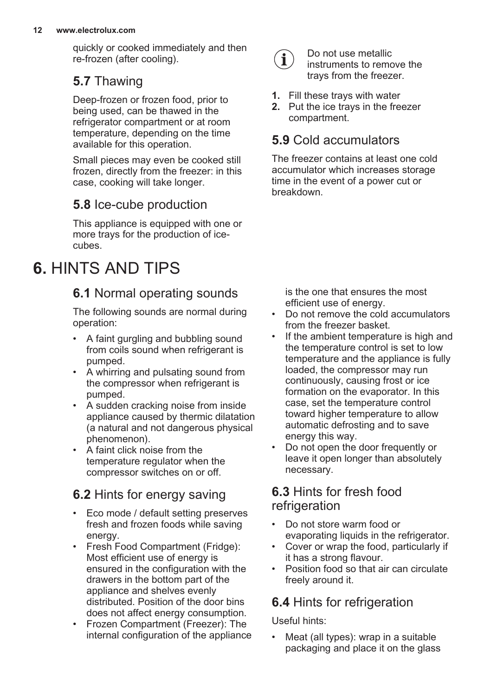<span id="page-11-0"></span>quickly or cooked immediately and then re-frozen (after cooling).

### **5.7** Thawing

Deep-frozen or frozen food, prior to being used, can be thawed in the refrigerator compartment or at room temperature, depending on the time available for this operation.

Small pieces may even be cooked still frozen, directly from the freezer: in this case, cooking will take longer.

### **5.8** Ice-cube production

This appliance is equipped with one or more trays for the production of icecubes.

# **6.** HINTS AND TIPS

# **6.1** Normal operating sounds

The following sounds are normal during operation:

- A faint gurgling and bubbling sound from coils sound when refrigerant is pumped.
- A whirring and pulsating sound from the compressor when refrigerant is pumped.
- A sudden cracking noise from inside appliance caused by thermic dilatation (a natural and not dangerous physical phenomenon).
- A faint click noise from the temperature regulator when the compressor switches on or off.

# **6.2** Hints for energy saving

- Eco mode / default setting preserves fresh and frozen foods while saving energy.
- Fresh Food Compartment (Fridge): Most efficient use of energy is ensured in the configuration with the drawers in the bottom part of the appliance and shelves evenly distributed. Position of the door bins does not affect energy consumption.
- Frozen Compartment (Freezer): The internal configuration of the appliance



Do not use metallic instruments to remove the trays from the freezer.

- **1.** Fill these trays with water
- **2.** Put the ice trays in the freezer compartment.

### **5.9** Cold accumulators

The freezer contains at least one cold accumulator which increases storage time in the event of a power cut or breakdown.

is the one that ensures the most efficient use of energy.

- Do not remove the cold accumulators from the freezer basket.
- If the ambient temperature is high and the temperature control is set to low temperature and the appliance is fully loaded, the compressor may run continuously, causing frost or ice formation on the evaporator. In this case, set the temperature control toward higher temperature to allow automatic defrosting and to save energy this way.
- Do not open the door frequently or leave it open longer than absolutely necessary.

### **6.3** Hints for fresh food refrigeration

- Do not store warm food or evaporating liquids in the refrigerator.
- Cover or wrap the food, particularly if it has a strong flavour.
- Position food so that air can circulate freely around it.

# **6.4** Hints for refrigeration

Useful hints:

• Meat (all types): wrap in a suitable packaging and place it on the glass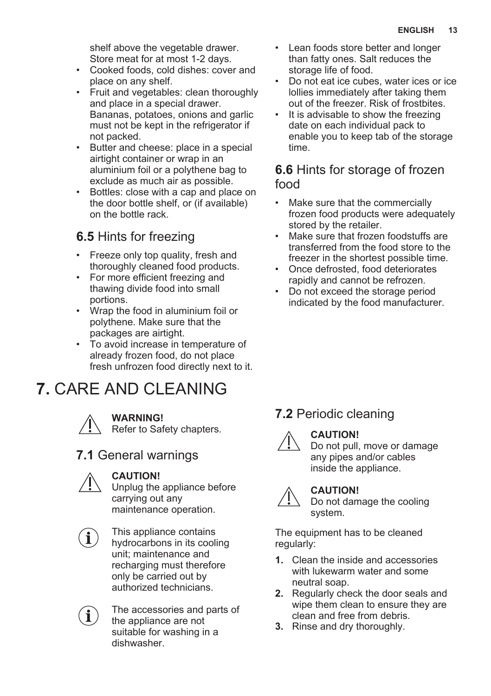<span id="page-12-0"></span>shelf above the vegetable drawer. Store meat for at most 1-2 days.

- Cooked foods, cold dishes: cover and place on any shelf.
- Fruit and vegetables: clean thoroughly and place in a special drawer. Bananas, potatoes, onions and garlic must not be kept in the refrigerator if not packed.
- Butter and cheese: place in a special airtight container or wrap in an aluminium foil or a polythene bag to exclude as much air as possible.
- Bottles: close with a cap and place on the door bottle shelf, or (if available) on the bottle rack.

### **6.5** Hints for freezing

- Freeze only top quality, fresh and thoroughly cleaned food products.
- For more efficient freezing and thawing divide food into small portions.
- Wrap the food in aluminium foil or polythene. Make sure that the packages are airtight.
- To avoid increase in temperature of already frozen food, do not place fresh unfrozen food directly next to it.

# **7.** CARE AND CLEANING



#### **WARNING!**

Refer to Safety chapters.

### **7.1** General warnings



#### **CAUTION!**

Unplug the appliance before carrying out any maintenance operation.



i

This appliance contains hydrocarbons in its cooling unit; maintenance and recharging must therefore only be carried out by authorized technicians.

The accessories and parts of the appliance are not suitable for washing in a dishwasher.

- Lean foods store better and longer than fatty ones. Salt reduces the storage life of food.
- Do not eat ice cubes, water ices or ice lollies immediately after taking them out of the freezer. Risk of frostbites.
- It is advisable to show the freezing date on each individual pack to enable you to keep tab of the storage time.

### **6.6** Hints for storage of frozen food

- Make sure that the commercially frozen food products were adequately stored by the retailer.
- Make sure that frozen foodstuffs are transferred from the food store to the freezer in the shortest possible time.
- Once defrosted, food deteriorates rapidly and cannot be refrozen.
- Do not exceed the storage period indicated by the food manufacturer.

### **7.2** Periodic cleaning



### **CAUTION!**

Do not pull, move or damage any pipes and/or cables inside the appliance.

### **CAUTION!**

Do not damage the cooling system.

The equipment has to be cleaned regularly:

- **1.** Clean the inside and accessories with lukewarm water and some neutral soap.
- **2.** Regularly check the door seals and wipe them clean to ensure they are clean and free from debris.
- **3.** Rinse and dry thoroughly.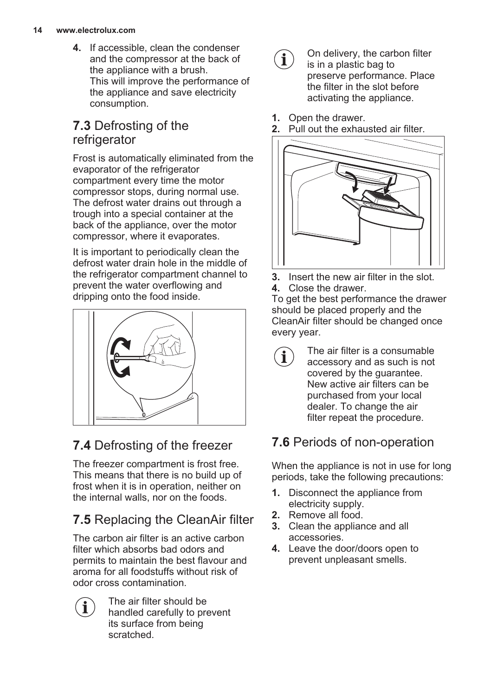**4.** If accessible, clean the condenser and the compressor at the back of the appliance with a brush. This will improve the performance of the appliance and save electricity consumption.

### **7.3** Defrosting of the refrigerator

Frost is automatically eliminated from the evaporator of the refrigerator compartment every time the motor compressor stops, during normal use. The defrost water drains out through a trough into a special container at the back of the appliance, over the motor compressor, where it evaporates.

It is important to periodically clean the defrost water drain hole in the middle of the refrigerator compartment channel to prevent the water overflowing and dripping onto the food inside.



# **7.4** Defrosting of the freezer

The freezer compartment is frost free. This means that there is no build up of frost when it is in operation, neither on the internal walls, nor on the foods.

# **7.5** Replacing the CleanAir filter

The carbon air filter is an active carbon filter which absorbs bad odors and permits to maintain the best flavour and aroma for all foodstuffs without risk of odor cross contamination.

The air filter should be  $\mathbf{\hat{i}}$ handled carefully to prevent its surface from being scratched.

- $\mathbf{\hat{i}}$
- On delivery, the carbon filter is in a plastic bag to preserve performance. Place the filter in the slot before activating the appliance.
- **1.** Open the drawer.<br>**2.** Pull out the exhaut
- **2.** Pull out the exhausted air filter.



- **3.** Insert the new air filter in the slot.
- **4.** Close the drawer.

To get the best performance the drawer should be placed properly and the CleanAir filter should be changed once every year.

The air filter is a consumable accessory and as such is not covered by the guarantee. New active air filters can be purchased from your local dealer. To change the air filter repeat the procedure.

# **7.6** Periods of non-operation

When the appliance is not in use for long periods, take the following precautions:

- **1.** Disconnect the appliance from electricity supply.
- **2.** Remove all food.
- **3.** Clean the appliance and all accessories.
- **4.** Leave the door/doors open to prevent unpleasant smells.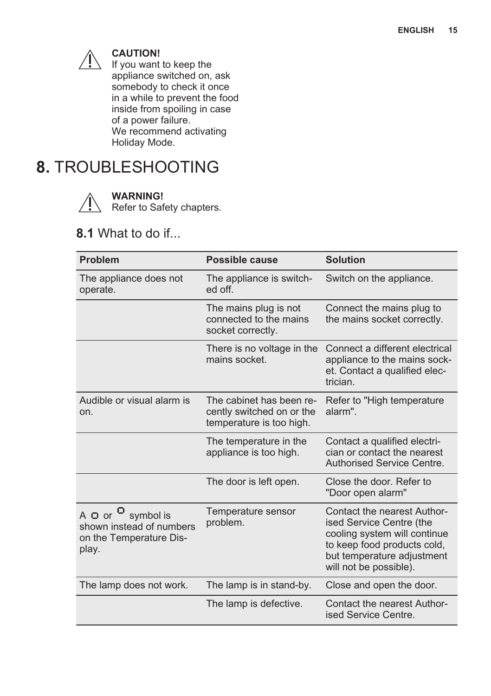<span id="page-14-0"></span>

#### **CAUTION!**

If you want to keep the appliance switched on, ask somebody to check it once in a while to prevent the food inside from spoiling in case of a power failure. We recommend activating Holiday Mode.

# **8.** TROUBLESHOOTING



#### **WARNING!**

Refer to Safety chapters.

### **8.1** What to do if...

| <b>Problem</b>                                                                                                                 | Possible cause                                                                    | <b>Solution</b>                                                                                                                                                                |
|--------------------------------------------------------------------------------------------------------------------------------|-----------------------------------------------------------------------------------|--------------------------------------------------------------------------------------------------------------------------------------------------------------------------------|
| The appliance does not<br>operate.                                                                                             | The appliance is switch-<br>ed off.                                               | Switch on the appliance.                                                                                                                                                       |
|                                                                                                                                | The mains plug is not<br>connected to the mains<br>socket correctly.              | Connect the mains plug to<br>the mains socket correctly.                                                                                                                       |
|                                                                                                                                | There is no voltage in the<br>mains socket.                                       | Connect a different electrical<br>appliance to the mains sock-<br>et. Contact a qualified elec-<br>trician.                                                                    |
| Audible or visual alarm is<br>on.                                                                                              | The cabinet has been re-<br>cently switched on or the<br>temperature is too high. | Refer to "High temperature"<br>alarm".                                                                                                                                         |
|                                                                                                                                | The temperature in the<br>appliance is too high.                                  | Contact a qualified electri-<br>cian or contact the nearest<br>Authorised Service Centre.                                                                                      |
|                                                                                                                                | The door is left open.                                                            | Close the door. Refer to<br>"Door open alarm"                                                                                                                                  |
| A $\overline{\mathsf{O}}$ or $\overline{\mathsf{O}}$ symbol is<br>shown instead of numbers<br>on the Temperature Dis-<br>play. | Temperature sensor<br>problem.                                                    | Contact the nearest Author-<br>ised Service Centre (the<br>cooling system will continue<br>to keep food products cold.<br>but temperature adjustment<br>will not be possible). |
| The lamp does not work.                                                                                                        | The lamp is in stand-by.                                                          | Close and open the door.                                                                                                                                                       |
|                                                                                                                                | The lamp is defective.                                                            | Contact the nearest Author-<br>ised Service Centre.                                                                                                                            |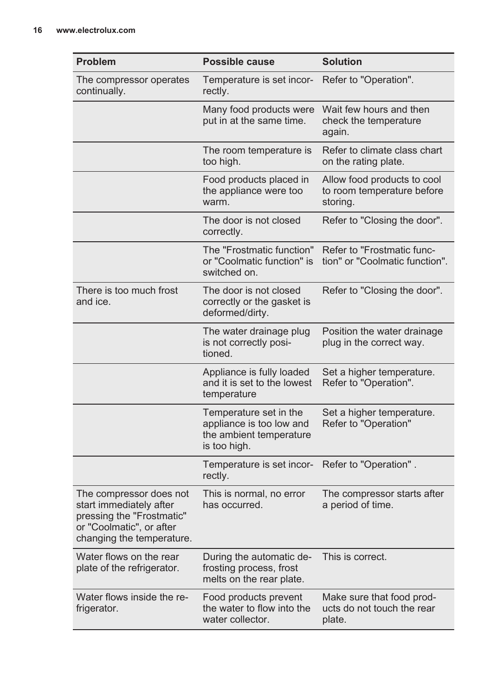| <b>Problem</b>                                                                                                                           | Possible cause                                                                                | <b>Solution</b>                                                       |
|------------------------------------------------------------------------------------------------------------------------------------------|-----------------------------------------------------------------------------------------------|-----------------------------------------------------------------------|
| The compressor operates<br>continually.                                                                                                  | Temperature is set incor-<br>rectly.                                                          | Refer to "Operation".                                                 |
|                                                                                                                                          | Many food products were<br>put in at the same time.                                           | Wait few hours and then<br>check the temperature<br>again.            |
|                                                                                                                                          | The room temperature is<br>too high.                                                          | Refer to climate class chart<br>on the rating plate.                  |
|                                                                                                                                          | Food products placed in<br>the appliance were too<br>warm.                                    | Allow food products to cool<br>to room temperature before<br>storing. |
|                                                                                                                                          | The door is not closed<br>correctly.                                                          | Refer to "Closing the door".                                          |
|                                                                                                                                          | The "Frostmatic function"<br>or "Coolmatic function" is<br>switched on.                       | Refer to "Frostmatic func-<br>tion" or "Coolmatic function".          |
| There is too much frost<br>and ice.                                                                                                      | The door is not closed<br>correctly or the gasket is<br>deformed/dirty.                       | Refer to "Closing the door".                                          |
|                                                                                                                                          | The water drainage plug<br>is not correctly posi-<br>tioned.                                  | Position the water drainage<br>plug in the correct way.               |
|                                                                                                                                          | Appliance is fully loaded<br>and it is set to the lowest<br>temperature                       | Set a higher temperature.<br>Refer to "Operation".                    |
|                                                                                                                                          | Temperature set in the<br>appliance is too low and<br>the ambient temperature<br>is too high. | Set a higher temperature.<br>Refer to "Operation"                     |
|                                                                                                                                          | Temperature is set incor-<br>rectly.                                                          | Refer to "Operation".                                                 |
| The compressor does not<br>start immediately after<br>pressing the "Frostmatic"<br>or "Coolmatic", or after<br>changing the temperature. | This is normal, no error<br>has occurred.                                                     | The compressor starts after<br>a period of time.                      |
| Water flows on the rear<br>plate of the refrigerator.                                                                                    | During the automatic de-<br>frosting process, frost<br>melts on the rear plate.               | This is correct.                                                      |
| Water flows inside the re-<br>frigerator.                                                                                                | Food products prevent<br>the water to flow into the<br>water collector.                       | Make sure that food prod-<br>ucts do not touch the rear<br>plate.     |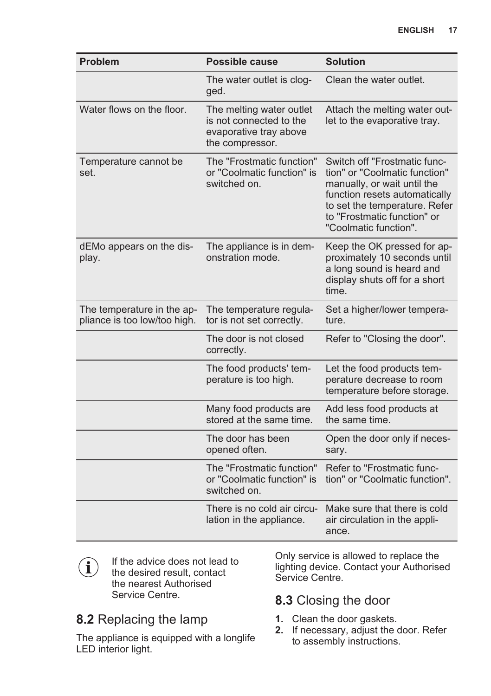| <b>Problem</b>                                             | Possible cause                                                                                   | <b>Solution</b>                                                                                                                                                                                                        |
|------------------------------------------------------------|--------------------------------------------------------------------------------------------------|------------------------------------------------------------------------------------------------------------------------------------------------------------------------------------------------------------------------|
|                                                            | The water outlet is clog-<br>ged.                                                                | Clean the water outlet.                                                                                                                                                                                                |
| Water flows on the floor.                                  | The melting water outlet<br>is not connected to the<br>evaporative tray above<br>the compressor. | Attach the melting water out-<br>let to the evaporative tray.                                                                                                                                                          |
| Temperature cannot be<br>set.                              | The "Frostmatic function"<br>or "Coolmatic function" is<br>switched on.                          | Switch off "Frostmatic func-<br>tion" or "Coolmatic function"<br>manually, or wait until the<br>function resets automatically<br>to set the temperature. Refer<br>to "Frostmatic function" or<br>"Coolmatic function". |
| dEMo appears on the dis-<br>play.                          | The appliance is in dem-<br>onstration mode.                                                     | Keep the OK pressed for ap-<br>proximately 10 seconds until<br>a long sound is heard and<br>display shuts off for a short<br>time.                                                                                     |
| The temperature in the ap-<br>pliance is too low/too high. | The temperature regula-<br>tor is not set correctly.                                             | Set a higher/lower tempera-<br>ture.                                                                                                                                                                                   |
|                                                            | The door is not closed<br>correctly.                                                             | Refer to "Closing the door".                                                                                                                                                                                           |
|                                                            | The food products' tem-<br>perature is too high.                                                 | Let the food products tem-<br>perature decrease to room<br>temperature before storage.                                                                                                                                 |
|                                                            | Many food products are<br>stored at the same time.                                               | Add less food products at<br>the same time.                                                                                                                                                                            |
|                                                            | The door has been<br>opened often.                                                               | Open the door only if neces-<br>sary.                                                                                                                                                                                  |
|                                                            | The "Frostmatic function"<br>or "Coolmatic function" is<br>switched on.                          | Refer to "Frostmatic func-<br>tion" or "Coolmatic function".                                                                                                                                                           |
|                                                            | There is no cold air circu-<br>lation in the appliance.                                          | Make sure that there is cold<br>air circulation in the appli-<br>ance.                                                                                                                                                 |

If the advice does not lead to  $\bf (i)$ the desired result, contact the nearest Authorised Service Centre.

### **8.2** Replacing the lamp

The appliance is equipped with a longlife LED interior light.

Only service is allowed to replace the lighting device. Contact your Authorised Service Centre.

### **8.3** Closing the door

- **1.** Clean the door gaskets.
- **2.** If necessary, adjust the door. Refer to assembly instructions.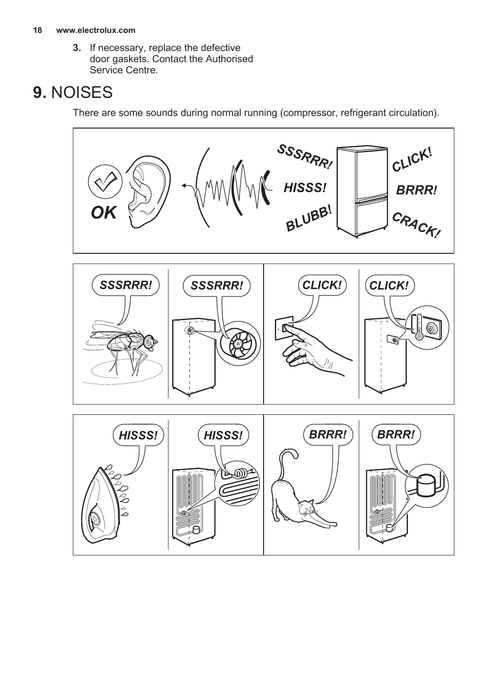#### <span id="page-17-0"></span>**18 www.electrolux.com**

**3.** If necessary, replace the defective door gaskets. Contact the Authorised Service Centre.

# **9.** NOISES

There are some sounds during normal running (compressor, refrigerant circulation).

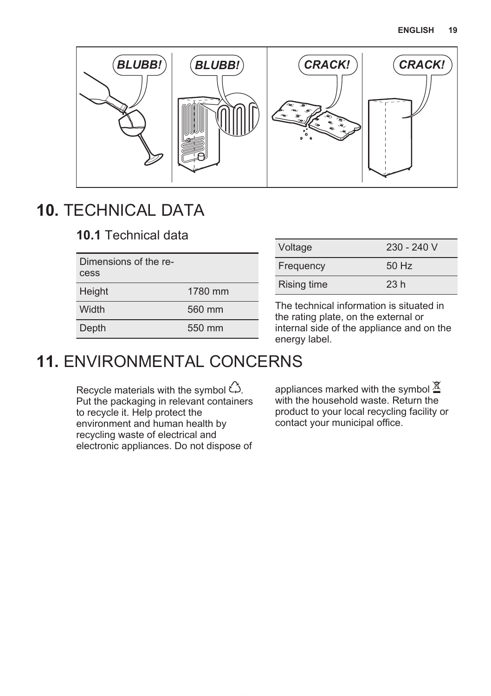<span id="page-18-0"></span>

# **10.** TECHNICAL DATA

**10.1** Technical data

| Dimensions of the re-<br>cess |         |
|-------------------------------|---------|
| Height                        | 1780 mm |
| Width                         | 560 mm  |
| Depth                         | 550 mm  |

| Voltage     | $230 - 240$ V |
|-------------|---------------|
| Frequency   | 50 Hz         |
| Rising time | 23h           |
|             |               |

The technical information is situated in the rating plate, on the external or internal side of the appliance and on the energy label.

# **11.** ENVIRONMENTAL CONCERNS

Recycle materials with the symbol  $\hat{\omega}$ . Put the packaging in relevant containers to recycle it. Help protect the environment and human health by recycling waste of electrical and electronic appliances. Do not dispose of

appliances marked with the symbol  $\underline{\mathfrak{A}}$ with the household waste. Return the product to your local recycling facility or contact your municipal office.